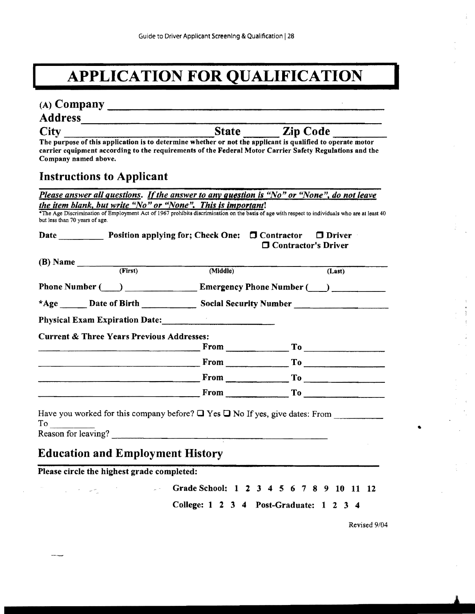## **IMPLICATION FOR QUALIFICATION**

| The purpose of this application is to determine whether or not the applicant is qualified to operate motor<br>carrier equipment according to the requirements of the Federal Motor Carrier Safety Regulations and the<br>Company named above.                |                                                                                                                                                                                              |                              |        |
|--------------------------------------------------------------------------------------------------------------------------------------------------------------------------------------------------------------------------------------------------------------|----------------------------------------------------------------------------------------------------------------------------------------------------------------------------------------------|------------------------------|--------|
| <b>Instructions to Applicant</b>                                                                                                                                                                                                                             |                                                                                                                                                                                              |                              |        |
| Please answer all questions. If the answer to any question is "No" or "None", do not leave                                                                                                                                                                   |                                                                                                                                                                                              |                              |        |
| the item blank, but write "No" or "None". This is important!<br><sup>*</sup> The Age Discrimination of Employment Act of 1967 prohibits discrimination on the basis of age with respect to individuals who are at least 40<br>but less than 70 years of age. |                                                                                                                                                                                              |                              |        |
|                                                                                                                                                                                                                                                              |                                                                                                                                                                                              | <b>O</b> Contractor's Driver |        |
|                                                                                                                                                                                                                                                              |                                                                                                                                                                                              |                              |        |
|                                                                                                                                                                                                                                                              |                                                                                                                                                                                              |                              |        |
|                                                                                                                                                                                                                                                              |                                                                                                                                                                                              |                              | (Last) |
| Phone Number (Comparison Lines of Lines Comparison Lines Comparison Lines Comparison Lines Dente Number (Comparison Lines Dente Dente Dente Dente Dente Dente Dente Dente Dente Dente Dente Dente Dente Dente Dente Dente Dent                               |                                                                                                                                                                                              |                              |        |
|                                                                                                                                                                                                                                                              |                                                                                                                                                                                              |                              |        |
| <b>Physical Exam Expiration Date: Manual Example 2014</b>                                                                                                                                                                                                    |                                                                                                                                                                                              |                              |        |
| (B) Name $(First)$ (First) (Middle)                                                                                                                                                                                                                          |                                                                                                                                                                                              |                              |        |
| <b>Current &amp; Three Years Previous Addresses:</b>                                                                                                                                                                                                         | $\overbrace{\hspace{2.5cm}}$ $\Gamma$ o $\overbrace{\hspace{2.5cm}}$ $\Gamma$ o $\overbrace{\hspace{2.5cm}}$ $\Gamma$ o $\overbrace{\hspace{2.5cm}}$ $\Gamma$ o $\overbrace{\hspace{2.5cm}}$ |                              |        |
|                                                                                                                                                                                                                                                              |                                                                                                                                                                                              |                              |        |
|                                                                                                                                                                                                                                                              | $\mathbf{From}$ $\mathbf{Top}$ $\mathbf{Top}$ $\mathbf{Top}$ $\mathbf{Top}$<br>$\frac{1}{10}$ From $\frac{1}{10}$ To $\frac{1}{10}$ To $\frac{1}{10}$                                        |                              |        |

Please circle the highest grade completed:

 $\mathcal{A}$ 

 $\omega \stackrel{\text{def}}{=}$ 

 $\frac{1}{2\pi}$  ,  $\frac{1}{2\pi}$ 

Grade School: 1 2 3 4 5 6 7 8 9 10 11 12 College: 1 2 3 4 Post-Graduate: 1 2 3 4

Revised 9/04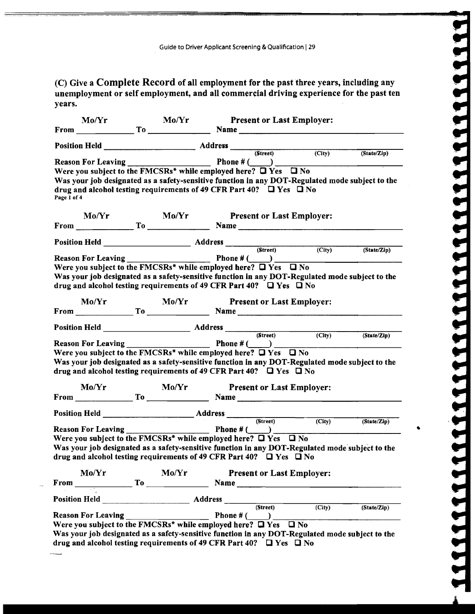(C) Give a Complete Record of all employment for the past three years, including any unemployment or self employment, and all commercial driving experience for the past ten years.

|             | Mo/Yr                                                                                                                                                               | Mo/Yr            |  | <b>Present or Last Employer:</b>                                                                                                                                                                                     |                                                                                                                      |
|-------------|---------------------------------------------------------------------------------------------------------------------------------------------------------------------|------------------|--|----------------------------------------------------------------------------------------------------------------------------------------------------------------------------------------------------------------------|----------------------------------------------------------------------------------------------------------------------|
|             |                                                                                                                                                                     |                  |  | $From \_\_\_\_\_TO \_\_\_To \_\_\_\_Name$                                                                                                                                                                            |                                                                                                                      |
|             |                                                                                                                                                                     |                  |  |                                                                                                                                                                                                                      |                                                                                                                      |
| Page 1 of 4 | Were you subject to the FMCSRs* while employed here? Q Yes Q No<br>drug and alcohol testing requirements of 49 CFR Part 40? $\Box$ Yes $\Box$ No                    |                  |  | Position Held<br>Reason For Leaving<br>Reason For Leaving<br>$\frac{Ph \cdot F(x)}{P(x)}$<br>Phone $\#(\bigcirc)$<br>Was your job designated as a safety-sensitive function in any DOT-Regulated mode subject to the |                                                                                                                      |
|             |                                                                                                                                                                     |                  |  |                                                                                                                                                                                                                      |                                                                                                                      |
|             |                                                                                                                                                                     |                  |  |                                                                                                                                                                                                                      |                                                                                                                      |
|             |                                                                                                                                                                     |                  |  |                                                                                                                                                                                                                      |                                                                                                                      |
|             |                                                                                                                                                                     |                  |  | Reason For Leaving Phone # (CO)                                                                                                                                                                                      |                                                                                                                      |
|             | drug and alcohol testing requirements of 49 CFR Part 40? $\Box$ Yes $\Box$ No<br>Mo/Yr                                                                              | $\textbf{Mo/Yr}$ |  | Was your job designated as a safety-sensitive function in any DOT-Regulated mode subject to the<br><b>Present or Last Employer:</b>                                                                                  |                                                                                                                      |
|             |                                                                                                                                                                     |                  |  |                                                                                                                                                                                                                      |                                                                                                                      |
|             |                                                                                                                                                                     |                  |  |                                                                                                                                                                                                                      |                                                                                                                      |
|             | Were you subject to the FMCSRs* while employed here? $\Box$ Yes $\Box$ No<br>drug and alcohol testing requirements of 49 CFR Part 40? $\Box$ Yes $\Box$ No<br>Mo/Yr | Mo/Yr            |  | Was your job designated as a safety-sensitive function in any DOT-Regulated mode subject to the<br><b>Present or Last Employer:</b>                                                                                  | <u> Andreas Andreas Andreas Andreas Andreas Andreas Andreas Andreas Andreas Andreas Andreas Andreas Andreas Andr</u> |
|             |                                                                                                                                                                     |                  |  |                                                                                                                                                                                                                      |                                                                                                                      |
|             |                                                                                                                                                                     |                  |  |                                                                                                                                                                                                                      |                                                                                                                      |
|             |                                                                                                                                                                     |                  |  |                                                                                                                                                                                                                      | (State/Zip)                                                                                                          |
|             | Were you subject to the FMCSRs* while employed here? $\Box$ Yes $\Box$ No<br>drug and alcohol testing requirements of 49 CFR Part 40? $\Box$ Yes $\Box$ No          |                  |  | Was your job designated as a safety-sensitive function in any DOT-Regulated mode subject to the                                                                                                                      |                                                                                                                      |
|             | Mo/Yr                                                                                                                                                               | Mo/Yr            |  | <b>Present or Last Employer:</b>                                                                                                                                                                                     |                                                                                                                      |
|             |                                                                                                                                                                     |                  |  | From $\qquad \qquad \text{To}$ Name                                                                                                                                                                                  |                                                                                                                      |
|             |                                                                                                                                                                     |                  |  |                                                                                                                                                                                                                      |                                                                                                                      |
|             |                                                                                                                                                                     |                  |  |                                                                                                                                                                                                                      | $\overline{\phantom{0}}$<br>(State/Zip)                                                                              |
|             | Were you subject to the FMCSRs* while employed here? $\Box$ Yes $\Box$ No<br>drug and alcohol testing requirements of 49 CFR Part 40? $\Box$ Yes $\Box$ No          |                  |  | Was your job designated as a safety-sensitive function in any DOT-Regulated mode subject to the                                                                                                                      |                                                                                                                      |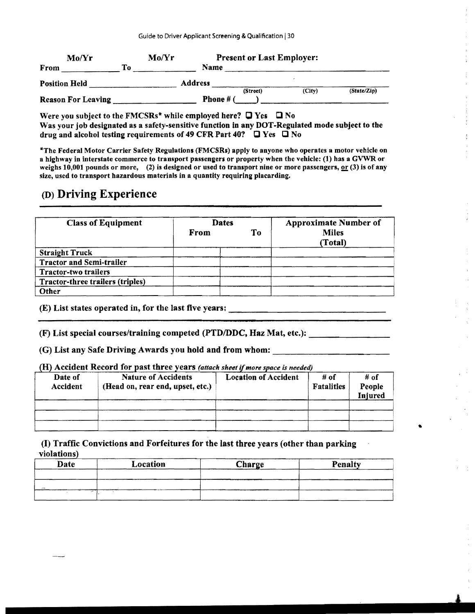| Mo/Yr                     | Mo/Yr | <b>Present or Last Employer:</b> |        |             |
|---------------------------|-------|----------------------------------|--------|-------------|
| From                      | To:   | Name                             |        |             |
| <b>Position Held</b>      |       | <b>Address</b>                   |        |             |
|                           |       | (Street)                         | (City) | (State/Zip) |
| <b>Reason For Leaving</b> |       | Phone # (                        |        |             |

Were you subject to the FMCSRs\* while employed here?  $\Box$  Yes  $\Box$  No Was your job designated as a safety-sensitive function in any DOT-Regulated mode subject to the drug and alcohol testing requirements of 49 CFR Part 40?  $\Box$  Yes  $\Box$  No

\*The Federal Motor Carrier Safety Regulations (FMCSRs) apply to anyone who operates a motor vehicle on a highway in interstate commerce to transport passengers or property when the vehicle: (1) has a GVWR or weighs 10,001 pounds or more, (2) is designed or used to transport nine or more passengers,  $or$  (3) is of any</u> size, used to transport hazardous materials in a quantity requiring placarding.

## (D) Driving Experience

| <b>Class of Equipment</b>        | <b>Dates</b> |    | <b>Approximate Number of</b> |  |
|----------------------------------|--------------|----|------------------------------|--|
|                                  | From         | To | <b>Miles</b><br>(Total)      |  |
| <b>Straight Truck</b>            |              |    |                              |  |
| <b>Tractor and Semi-trailer</b>  |              |    |                              |  |
| <b>Tractor-two trailers</b>      |              |    |                              |  |
| Tractor-three trailers (triples) |              |    |                              |  |
| Other                            |              |    |                              |  |

i

I

 $\vert$ 

I i

(E) List states operated in, for the last five years:

(F) List special courses/training competed (PTD/DDC, Haz Mat, etc.): \_\_\_\_\_\_\_\_\_\_\_\_

(G) List any Safe Driving Awards you hold and from whom: \_\_\_\_\_\_\_\_\_\_\_\_\_\_\_\_\_\_\_\_\_\_\_

{H) Accident Record for past three years *(attach sheet* if*more space is needed)* 

| Date of<br>Accident | $\mathbf{u}_i$ received the contraction of $\mathbf{u}_i$ and $\mathbf{u}_i$ and $\mathbf{u}_i$ and $\mathbf{u}_i$ and $\mathbf{u}_i$ and $\mathbf{u}_i$<br><b>Nature of Accidents</b><br>(Head on, rear end, upset, etc.) | <b>Location of Accident</b> | # of<br><b>Fatalities</b> | # of<br>People<br>Injured |
|---------------------|----------------------------------------------------------------------------------------------------------------------------------------------------------------------------------------------------------------------------|-----------------------------|---------------------------|---------------------------|
|                     |                                                                                                                                                                                                                            |                             |                           |                           |
|                     |                                                                                                                                                                                                                            |                             |                           |                           |
|                     |                                                                                                                                                                                                                            |                             |                           |                           |

(I) Traffic Convictions and Forfeitures for tbe last tbree years (other than parking violations)

| Date | Location | Charge | Penalty |
|------|----------|--------|---------|
|      |          |        |         |
|      |          |        |         |
|      |          |        |         |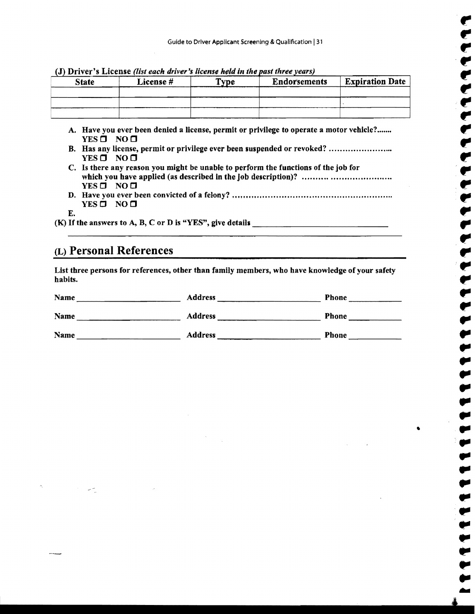| $(J)$ Driver's License (list each driver's license held in the past three years) |           |             |                     |                        |  |
|----------------------------------------------------------------------------------|-----------|-------------|---------------------|------------------------|--|
| <b>State</b>                                                                     | License # | <b>Type</b> | <b>Endorsements</b> | <b>Expiration Date</b> |  |
|                                                                                  |           |             |                     |                        |  |
|                                                                                  |           |             |                     |                        |  |
|                                                                                  |           |             |                     |                        |  |

(J) Driver's License *(list each driver's license held in the past three years)* 

- A. Have you ever been denied a license, permit or privilege to operate a motor vehicle?....... YES  $\Box$  NO  $\Box$
- B. Has any license, permit or privilege ever been suspended or revoked? ............................  $YES \Box NO \Box$
- C. Is there any reason you might be unable to perform the functions of the job for which you have applied <as described in the job description)? ................................ . ..  $YES \Box NO \Box$
- D. Have you ever been convicted of a felony? ........................................................... f" YES LJ NOLJ
- E.

(K) Ifthe answers to A, B, C or D is "YES", give details \_\_\_\_\_\_\_\_\_\_\_\_\_\_ ..

## (L) Personal References

List three persons for references, other than family members, who have knowledge of your safety habits.

| habits.     |                |              |  |
|-------------|----------------|--------------|--|
| Name        | <b>Address</b> | <b>Phone</b> |  |
| Name        | <b>Address</b> | <b>Phone</b> |  |
| <b>Name</b> | <b>Address</b> | Phone        |  |
|             |                |              |  |